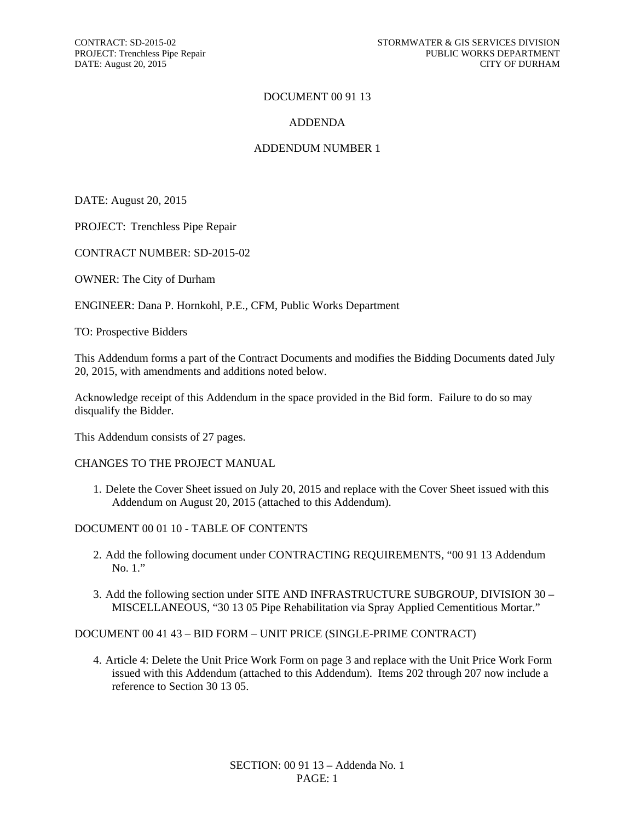#### DOCUMENT 00 91 13

#### ADDENDA

#### ADDENDUM NUMBER 1

DATE: August 20, 2015

PROJECT: Trenchless Pipe Repair

CONTRACT NUMBER: SD-2015-02

OWNER: The City of Durham

ENGINEER: Dana P. Hornkohl, P.E., CFM, Public Works Department

TO: Prospective Bidders

This Addendum forms a part of the Contract Documents and modifies the Bidding Documents dated July 20, 2015, with amendments and additions noted below.

Acknowledge receipt of this Addendum in the space provided in the Bid form. Failure to do so may disqualify the Bidder.

This Addendum consists of 27 pages.

#### CHANGES TO THE PROJECT MANUAL

1. Delete the Cover Sheet issued on July 20, 2015 and replace with the Cover Sheet issued with this Addendum on August 20, 2015 (attached to this Addendum).

DOCUMENT 00 01 10 - TABLE OF CONTENTS

- 2. Add the following document under CONTRACTING REQUIREMENTS, "00 91 13 Addendum No. 1."
- 3. Add the following section under SITE AND INFRASTRUCTURE SUBGROUP, DIVISION 30 MISCELLANEOUS, "30 13 05 Pipe Rehabilitation via Spray Applied Cementitious Mortar."

DOCUMENT 00 41 43 – BID FORM – UNIT PRICE (SINGLE-PRIME CONTRACT)

4. Article 4: Delete the Unit Price Work Form on page 3 and replace with the Unit Price Work Form issued with this Addendum (attached to this Addendum). Items 202 through 207 now include a reference to Section 30 13 05.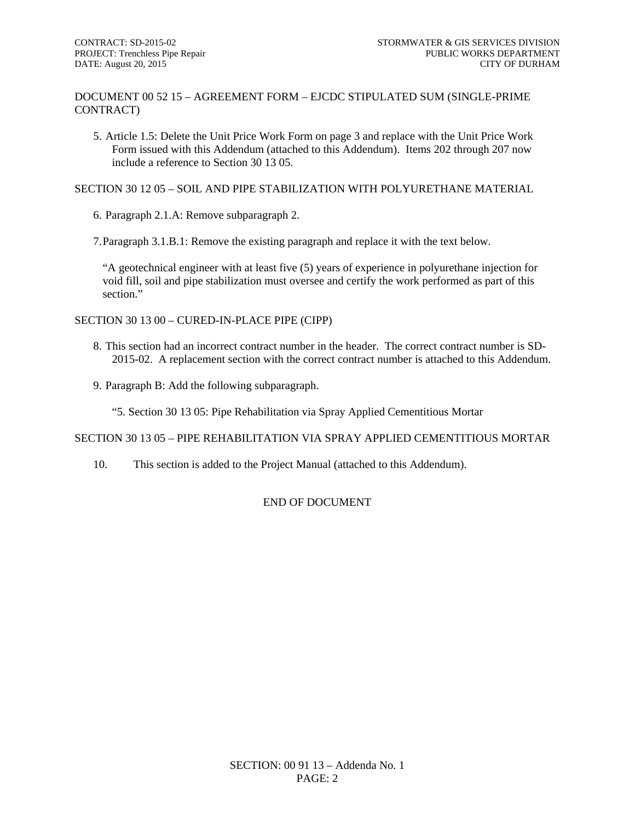DOCUMENT 00 52 15 – AGREEMENT FORM – EJCDC STIPULATED SUM (SINGLE-PRIME CONTRACT)

5. Article 1.5: Delete the Unit Price Work Form on page 3 and replace with the Unit Price Work Form issued with this Addendum (attached to this Addendum). Items 202 through 207 now include a reference to Section 30 13 05.

SECTION 30 12 05 – SOIL AND PIPE STABILIZATION WITH POLYURETHANE MATERIAL

6. Paragraph 2.1.A: Remove subparagraph 2.

7.Paragraph 3.1.B.1: Remove the existing paragraph and replace it with the text below.

"A geotechnical engineer with at least five (5) years of experience in polyurethane injection for void fill, soil and pipe stabilization must oversee and certify the work performed as part of this section"

SECTION 30 13 00 – CURED-IN-PLACE PIPE (CIPP)

- 8. This section had an incorrect contract number in the header. The correct contract number is SD-2015-02. A replacement section with the correct contract number is attached to this Addendum.
- 9. Paragraph B: Add the following subparagraph.

"5. Section 30 13 05: Pipe Rehabilitation via Spray Applied Cementitious Mortar

SECTION 30 13 05 – PIPE REHABILITATION VIA SPRAY APPLIED CEMENTITIOUS MORTAR

10. This section is added to the Project Manual (attached to this Addendum).

# END OF DOCUMENT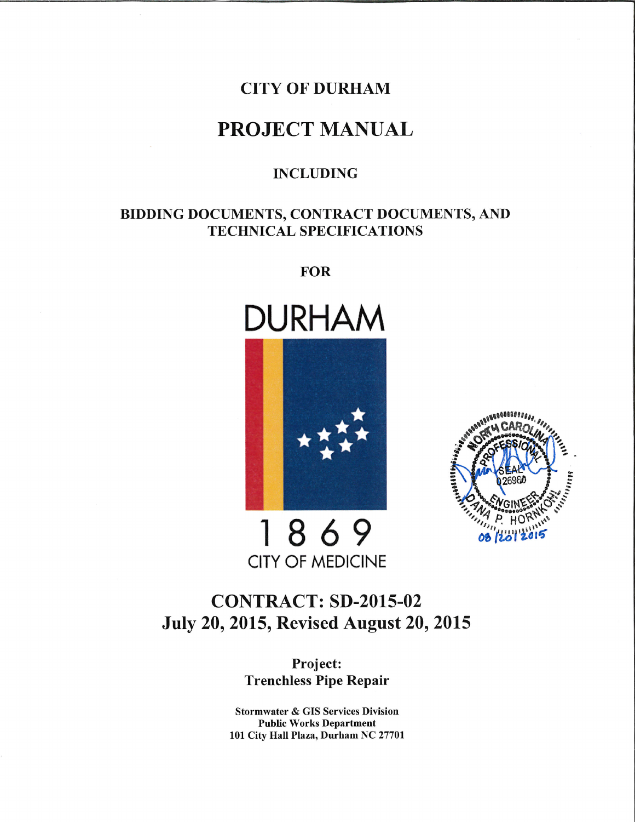# **CITY OF DURHAM**

# **PROJECT MANUAL**

# **INCLUDING**

# BIDDING DOCUMENTS, CONTRACT DOCUMENTS, AND **TECHNICAL SPECIFICATIONS**

**FOR** 







1869 **CITY OF MEDICINE** 

# **CONTRACT: SD-2015-02 July 20, 2015, Revised August 20, 2015**

Project: **Trenchless Pipe Repair** 

**Stormwater & GIS Services Division Public Works Department** 101 City Hall Plaza, Durham NC 27701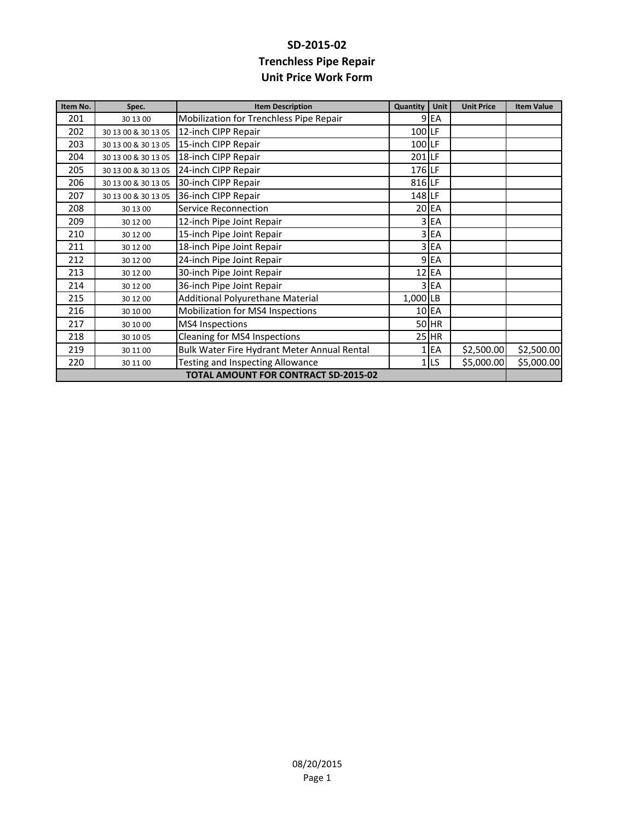# **SD‐2015‐02 Trenchless Pipe Repair Unit Price Work Form**

| Item No.                                    | Spec.               | <b>Item Description</b>                     | Quantity | Unit            | <b>Unit Price</b> | <b>Item Value</b> |
|---------------------------------------------|---------------------|---------------------------------------------|----------|-----------------|-------------------|-------------------|
| 201                                         | 30 13 00            | Mobilization for Trenchless Pipe Repair     |          | 9 <sub>EA</sub> |                   |                   |
| 202                                         | 30 13 00 & 30 13 05 | 12-inch CIPP Repair                         | 100 LF   |                 |                   |                   |
| 203                                         | 30 13 00 & 30 13 05 | 15-inch CIPP Repair                         | 100 LF   |                 |                   |                   |
| 204                                         | 30 13 00 & 30 13 05 | 18-inch CIPP Repair                         | 201 LF   |                 |                   |                   |
| 205                                         | 30 13 00 & 30 13 05 | 24-inch CIPP Repair                         | 176 LF   |                 |                   |                   |
| 206                                         | 30 13 00 & 30 13 05 | 30-inch CIPP Repair                         | 816 LF   |                 |                   |                   |
| 207                                         | 30 13 00 & 30 13 05 | 36-inch CIPP Repair                         | 148 LF   |                 |                   |                   |
| 208                                         | 30 13 00            | <b>Service Reconnection</b>                 |          | 20 EA           |                   |                   |
| 209                                         | 30 12 00            | 12-inch Pipe Joint Repair                   |          | 3 EA            |                   |                   |
| 210                                         | 30 12 00            | 15-inch Pipe Joint Repair                   |          | 3 EA            |                   |                   |
| 211                                         | 30 12 00            | 18-inch Pipe Joint Repair                   |          | 3 EA            |                   |                   |
| 212                                         | 30 12 00            | 24-inch Pipe Joint Repair                   |          | 9 EA            |                   |                   |
| 213                                         | 30 12 00            | 30-inch Pipe Joint Repair                   |          | $12$ EA         |                   |                   |
| 214                                         | 30 12 00            | 36-inch Pipe Joint Repair                   |          | 3 EA            |                   |                   |
| 215                                         | 30 12 00            | Additional Polyurethane Material            | 1,000 LB |                 |                   |                   |
| 216                                         | 30 10 00            | Mobilization for MS4 Inspections            |          | 10 EA           |                   |                   |
| 217                                         | 30 10 00            | <b>MS4</b> Inspections                      |          | 50 HR           |                   |                   |
| 218                                         | 30 10 05            | <b>Cleaning for MS4 Inspections</b>         |          | $25$ HR         |                   |                   |
| 219                                         | 30 11 00            | Bulk Water Fire Hydrant Meter Annual Rental |          | EA              | \$2,500.00        | \$2,500.00        |
| 220                                         | 30 11 00            | Testing and Inspecting Allowance            |          | 1 <sub>LS</sub> | \$5,000.00        | \$5,000.00        |
| <b>TOTAL AMOUNT FOR CONTRACT SD-2015-02</b> |                     |                                             |          |                 |                   |                   |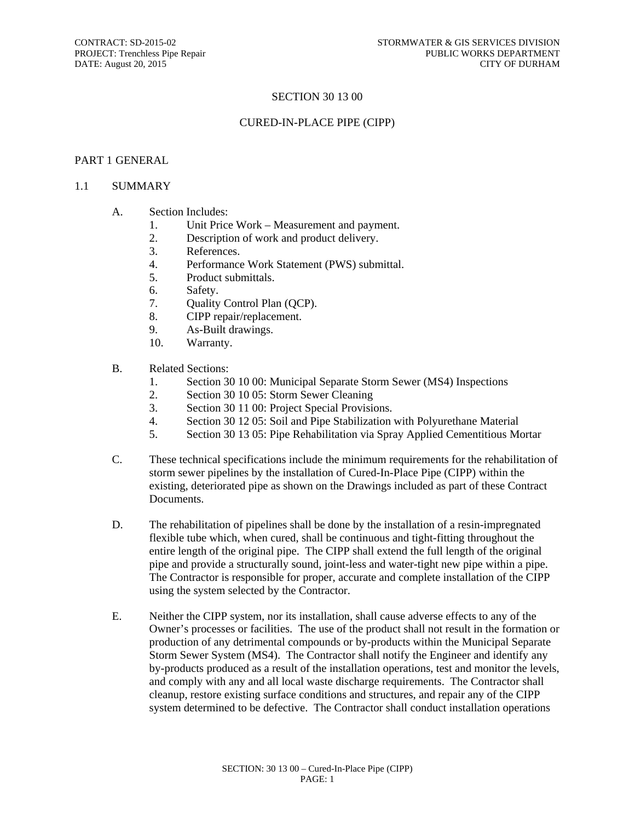#### SECTION 30 13 00

#### CURED-IN-PLACE PIPE (CIPP)

#### PART 1 GENERAL

#### 1.1 SUMMARY

- A. Section Includes:
	- 1. Unit Price Work Measurement and payment.
	- 2. Description of work and product delivery.
	- 3. References.
	- 4. Performance Work Statement (PWS) submittal.
	- 5. Product submittals.
	- 6. Safety.
	- 7. Quality Control Plan (QCP).
	- 8. CIPP repair/replacement.
	- 9. As-Built drawings.
	- 10. Warranty.

#### B. Related Sections:

- 1. Section 30 10 00: Municipal Separate Storm Sewer (MS4) Inspections
- 2. Section 30 10 05: Storm Sewer Cleaning
- 3. Section 30 11 00: Project Special Provisions.
- 4. Section 30 12 05: Soil and Pipe Stabilization with Polyurethane Material
- 5. Section 30 13 05: Pipe Rehabilitation via Spray Applied Cementitious Mortar
- C. These technical specifications include the minimum requirements for the rehabilitation of storm sewer pipelines by the installation of Cured-In-Place Pipe (CIPP) within the existing, deteriorated pipe as shown on the Drawings included as part of these Contract Documents.
- D. The rehabilitation of pipelines shall be done by the installation of a resin-impregnated flexible tube which, when cured, shall be continuous and tight-fitting throughout the entire length of the original pipe. The CIPP shall extend the full length of the original pipe and provide a structurally sound, joint-less and water-tight new pipe within a pipe. The Contractor is responsible for proper, accurate and complete installation of the CIPP using the system selected by the Contractor.
- E. Neither the CIPP system, nor its installation, shall cause adverse effects to any of the Owner's processes or facilities. The use of the product shall not result in the formation or production of any detrimental compounds or by-products within the Municipal Separate Storm Sewer System (MS4). The Contractor shall notify the Engineer and identify any by-products produced as a result of the installation operations, test and monitor the levels, and comply with any and all local waste discharge requirements. The Contractor shall cleanup, restore existing surface conditions and structures, and repair any of the CIPP system determined to be defective. The Contractor shall conduct installation operations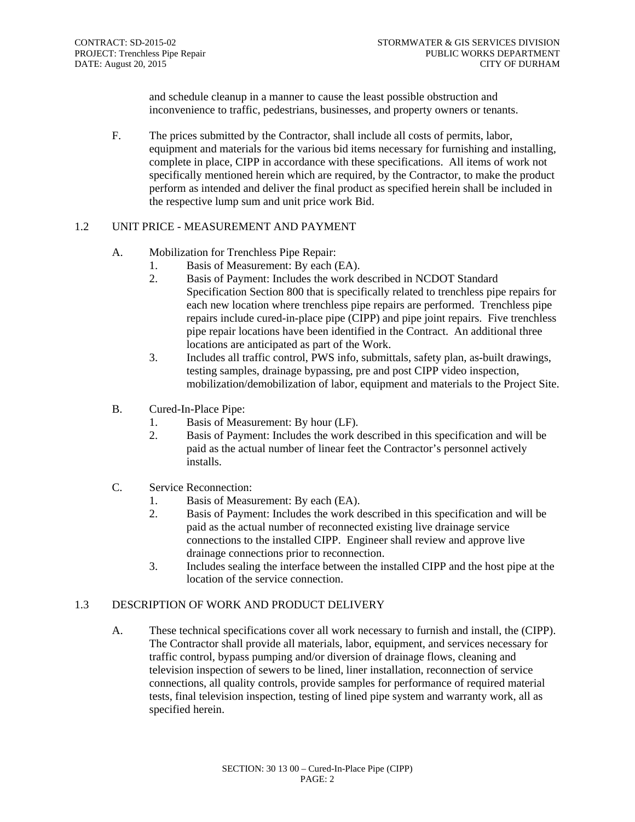and schedule cleanup in a manner to cause the least possible obstruction and inconvenience to traffic, pedestrians, businesses, and property owners or tenants.

F. The prices submitted by the Contractor, shall include all costs of permits, labor, equipment and materials for the various bid items necessary for furnishing and installing, complete in place, CIPP in accordance with these specifications. All items of work not specifically mentioned herein which are required, by the Contractor, to make the product perform as intended and deliver the final product as specified herein shall be included in the respective lump sum and unit price work Bid.

#### 1.2 UNIT PRICE - MEASUREMENT AND PAYMENT

- A. Mobilization for Trenchless Pipe Repair:
	- 1. Basis of Measurement: By each (EA).
	- 2. Basis of Payment: Includes the work described in NCDOT Standard Specification Section 800 that is specifically related to trenchless pipe repairs for each new location where trenchless pipe repairs are performed. Trenchless pipe repairs include cured-in-place pipe (CIPP) and pipe joint repairs. Five trenchless pipe repair locations have been identified in the Contract. An additional three locations are anticipated as part of the Work.
	- 3. Includes all traffic control, PWS info, submittals, safety plan, as-built drawings, testing samples, drainage bypassing, pre and post CIPP video inspection, mobilization/demobilization of labor, equipment and materials to the Project Site.
- B. Cured-In-Place Pipe:
	- 1. Basis of Measurement: By hour (LF).
	- 2. Basis of Payment: Includes the work described in this specification and will be paid as the actual number of linear feet the Contractor's personnel actively installs.
- C. Service Reconnection:
	- 1. Basis of Measurement: By each (EA).
	- 2. Basis of Payment: Includes the work described in this specification and will be paid as the actual number of reconnected existing live drainage service connections to the installed CIPP. Engineer shall review and approve live drainage connections prior to reconnection.
	- 3. Includes sealing the interface between the installed CIPP and the host pipe at the location of the service connection.

# 1.3 DESCRIPTION OF WORK AND PRODUCT DELIVERY

A. These technical specifications cover all work necessary to furnish and install, the (CIPP). The Contractor shall provide all materials, labor, equipment, and services necessary for traffic control, bypass pumping and/or diversion of drainage flows, cleaning and television inspection of sewers to be lined, liner installation, reconnection of service connections, all quality controls, provide samples for performance of required material tests, final television inspection, testing of lined pipe system and warranty work, all as specified herein.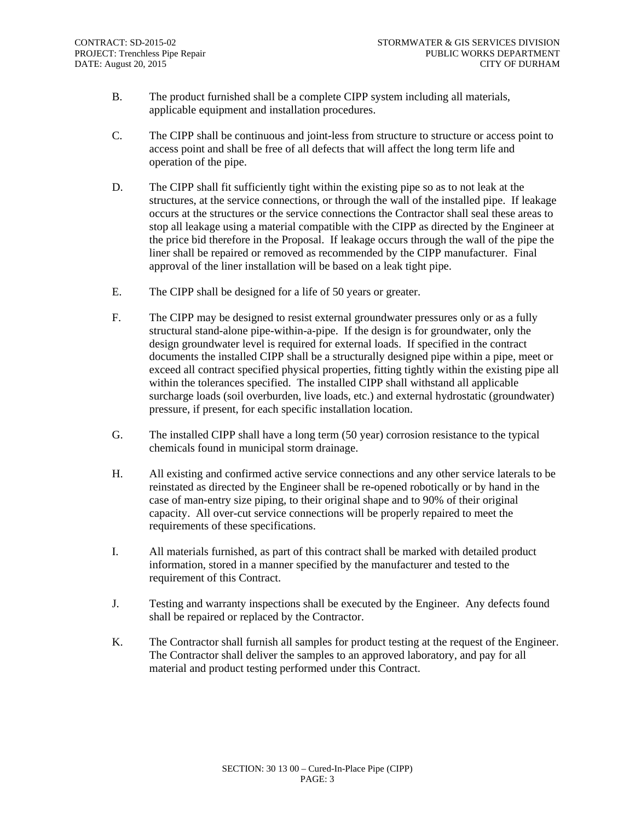- B. The product furnished shall be a complete CIPP system including all materials, applicable equipment and installation procedures.
- C. The CIPP shall be continuous and joint-less from structure to structure or access point to access point and shall be free of all defects that will affect the long term life and operation of the pipe.
- D. The CIPP shall fit sufficiently tight within the existing pipe so as to not leak at the structures, at the service connections, or through the wall of the installed pipe. If leakage occurs at the structures or the service connections the Contractor shall seal these areas to stop all leakage using a material compatible with the CIPP as directed by the Engineer at the price bid therefore in the Proposal. If leakage occurs through the wall of the pipe the liner shall be repaired or removed as recommended by the CIPP manufacturer. Final approval of the liner installation will be based on a leak tight pipe.
- E. The CIPP shall be designed for a life of 50 years or greater.
- F. The CIPP may be designed to resist external groundwater pressures only or as a fully structural stand-alone pipe-within-a-pipe. If the design is for groundwater, only the design groundwater level is required for external loads. If specified in the contract documents the installed CIPP shall be a structurally designed pipe within a pipe, meet or exceed all contract specified physical properties, fitting tightly within the existing pipe all within the tolerances specified. The installed CIPP shall withstand all applicable surcharge loads (soil overburden, live loads, etc.) and external hydrostatic (groundwater) pressure, if present, for each specific installation location.
- G. The installed CIPP shall have a long term (50 year) corrosion resistance to the typical chemicals found in municipal storm drainage.
- H. All existing and confirmed active service connections and any other service laterals to be reinstated as directed by the Engineer shall be re-opened robotically or by hand in the case of man-entry size piping, to their original shape and to 90% of their original capacity. All over-cut service connections will be properly repaired to meet the requirements of these specifications.
- I. All materials furnished, as part of this contract shall be marked with detailed product information, stored in a manner specified by the manufacturer and tested to the requirement of this Contract.
- J. Testing and warranty inspections shall be executed by the Engineer. Any defects found shall be repaired or replaced by the Contractor.
- K. The Contractor shall furnish all samples for product testing at the request of the Engineer. The Contractor shall deliver the samples to an approved laboratory, and pay for all material and product testing performed under this Contract.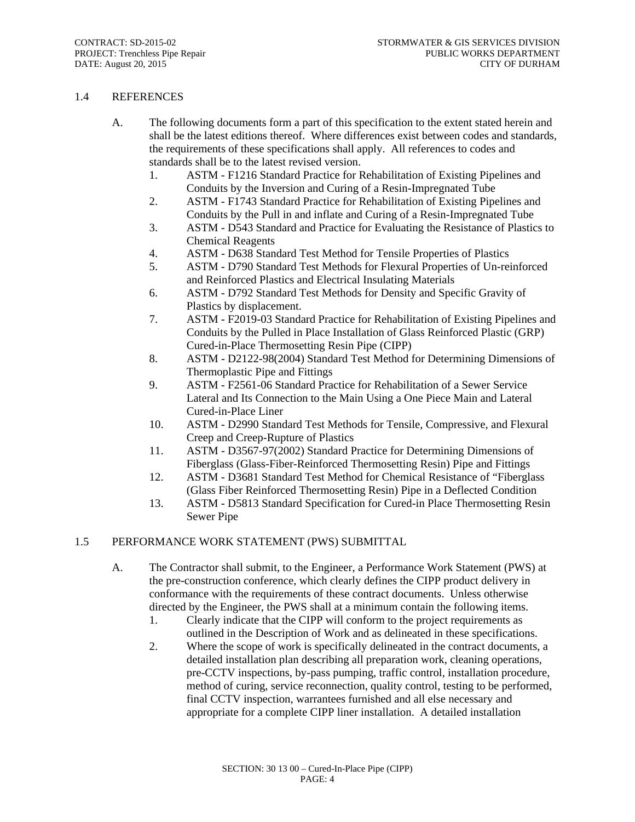#### 1.4 REFERENCES

- A. The following documents form a part of this specification to the extent stated herein and shall be the latest editions thereof. Where differences exist between codes and standards, the requirements of these specifications shall apply. All references to codes and standards shall be to the latest revised version.
	- 1. ASTM F1216 Standard Practice for Rehabilitation of Existing Pipelines and Conduits by the Inversion and Curing of a Resin-Impregnated Tube
	- 2. ASTM F1743 Standard Practice for Rehabilitation of Existing Pipelines and Conduits by the Pull in and inflate and Curing of a Resin-Impregnated Tube
	- 3. ASTM D543 Standard and Practice for Evaluating the Resistance of Plastics to Chemical Reagents
	- 4. ASTM D638 Standard Test Method for Tensile Properties of Plastics
	- 5. ASTM D790 Standard Test Methods for Flexural Properties of Un-reinforced and Reinforced Plastics and Electrical Insulating Materials
	- 6. ASTM D792 Standard Test Methods for Density and Specific Gravity of Plastics by displacement.
	- 7. ASTM F2019-03 Standard Practice for Rehabilitation of Existing Pipelines and Conduits by the Pulled in Place Installation of Glass Reinforced Plastic (GRP) Cured-in-Place Thermosetting Resin Pipe (CIPP)
	- 8. ASTM D2122-98(2004) Standard Test Method for Determining Dimensions of Thermoplastic Pipe and Fittings
	- 9. ASTM F2561-06 Standard Practice for Rehabilitation of a Sewer Service Lateral and Its Connection to the Main Using a One Piece Main and Lateral Cured-in-Place Liner
	- 10. ASTM D2990 Standard Test Methods for Tensile, Compressive, and Flexural Creep and Creep-Rupture of Plastics
	- 11. ASTM D3567-97(2002) Standard Practice for Determining Dimensions of Fiberglass (Glass-Fiber-Reinforced Thermosetting Resin) Pipe and Fittings
	- 12. ASTM D3681 Standard Test Method for Chemical Resistance of "Fiberglass (Glass Fiber Reinforced Thermosetting Resin) Pipe in a Deflected Condition
	- 13. ASTM D5813 Standard Specification for Cured-in Place Thermosetting Resin Sewer Pipe

#### 1.5 PERFORMANCE WORK STATEMENT (PWS) SUBMITTAL

- A. The Contractor shall submit, to the Engineer, a Performance Work Statement (PWS) at the pre-construction conference, which clearly defines the CIPP product delivery in conformance with the requirements of these contract documents. Unless otherwise directed by the Engineer, the PWS shall at a minimum contain the following items.
	- 1. Clearly indicate that the CIPP will conform to the project requirements as outlined in the Description of Work and as delineated in these specifications.
	- 2. Where the scope of work is specifically delineated in the contract documents, a detailed installation plan describing all preparation work, cleaning operations, pre-CCTV inspections, by-pass pumping, traffic control, installation procedure, method of curing, service reconnection, quality control, testing to be performed, final CCTV inspection, warrantees furnished and all else necessary and appropriate for a complete CIPP liner installation. A detailed installation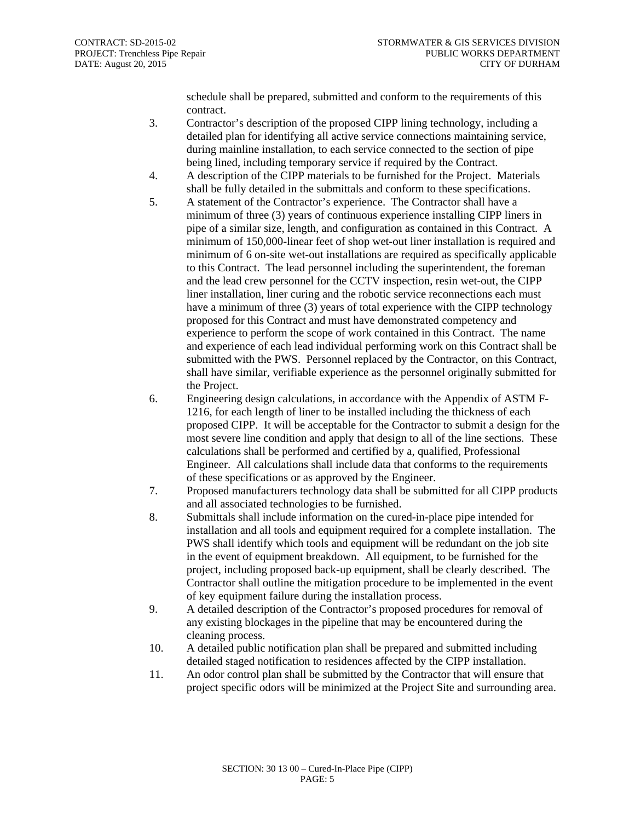schedule shall be prepared, submitted and conform to the requirements of this contract.

- 3. Contractor's description of the proposed CIPP lining technology, including a detailed plan for identifying all active service connections maintaining service, during mainline installation, to each service connected to the section of pipe being lined, including temporary service if required by the Contract.
- 4. A description of the CIPP materials to be furnished for the Project. Materials shall be fully detailed in the submittals and conform to these specifications.
- 5. A statement of the Contractor's experience. The Contractor shall have a minimum of three (3) years of continuous experience installing CIPP liners in pipe of a similar size, length, and configuration as contained in this Contract. A minimum of 150,000-linear feet of shop wet-out liner installation is required and minimum of 6 on-site wet-out installations are required as specifically applicable to this Contract. The lead personnel including the superintendent, the foreman and the lead crew personnel for the CCTV inspection, resin wet-out, the CIPP liner installation, liner curing and the robotic service reconnections each must have a minimum of three (3) years of total experience with the CIPP technology proposed for this Contract and must have demonstrated competency and experience to perform the scope of work contained in this Contract. The name and experience of each lead individual performing work on this Contract shall be submitted with the PWS. Personnel replaced by the Contractor, on this Contract, shall have similar, verifiable experience as the personnel originally submitted for the Project.
- 6. Engineering design calculations, in accordance with the Appendix of ASTM F-1216, for each length of liner to be installed including the thickness of each proposed CIPP. It will be acceptable for the Contractor to submit a design for the most severe line condition and apply that design to all of the line sections. These calculations shall be performed and certified by a, qualified, Professional Engineer. All calculations shall include data that conforms to the requirements of these specifications or as approved by the Engineer.
- 7. Proposed manufacturers technology data shall be submitted for all CIPP products and all associated technologies to be furnished.
- 8. Submittals shall include information on the cured-in-place pipe intended for installation and all tools and equipment required for a complete installation. The PWS shall identify which tools and equipment will be redundant on the job site in the event of equipment breakdown. All equipment, to be furnished for the project, including proposed back-up equipment, shall be clearly described. The Contractor shall outline the mitigation procedure to be implemented in the event of key equipment failure during the installation process.
- 9. A detailed description of the Contractor's proposed procedures for removal of any existing blockages in the pipeline that may be encountered during the cleaning process.
- 10. A detailed public notification plan shall be prepared and submitted including detailed staged notification to residences affected by the CIPP installation.
- 11. An odor control plan shall be submitted by the Contractor that will ensure that project specific odors will be minimized at the Project Site and surrounding area.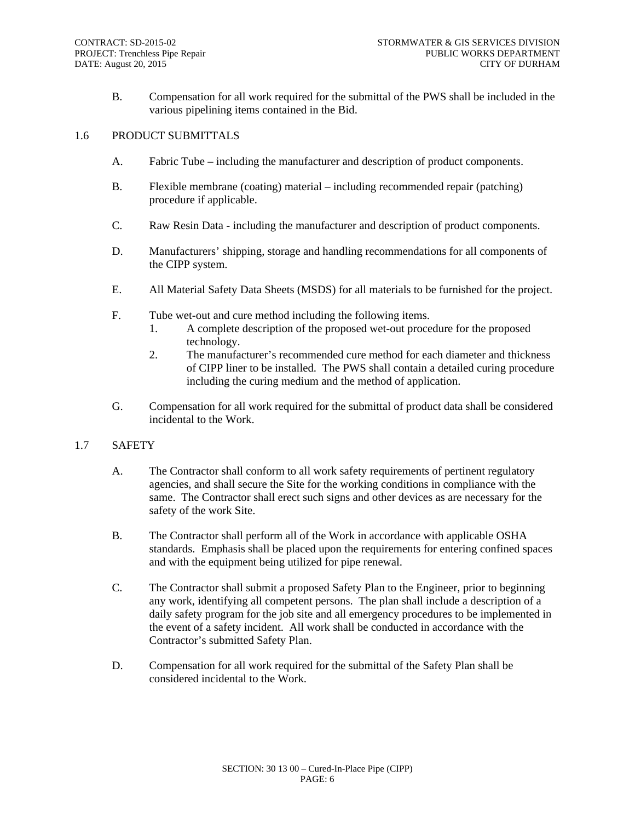B. Compensation for all work required for the submittal of the PWS shall be included in the various pipelining items contained in the Bid.

#### 1.6 PRODUCT SUBMITTALS

- A. Fabric Tube including the manufacturer and description of product components.
- B. Flexible membrane (coating) material including recommended repair (patching) procedure if applicable.
- C. Raw Resin Data including the manufacturer and description of product components.
- D. Manufacturers' shipping, storage and handling recommendations for all components of the CIPP system.
- E. All Material Safety Data Sheets (MSDS) for all materials to be furnished for the project.
- F. Tube wet-out and cure method including the following items.
	- 1. A complete description of the proposed wet-out procedure for the proposed technology.
	- 2. The manufacturer's recommended cure method for each diameter and thickness of CIPP liner to be installed. The PWS shall contain a detailed curing procedure including the curing medium and the method of application.
- G. Compensation for all work required for the submittal of product data shall be considered incidental to the Work.

#### 1.7 SAFETY

- A. The Contractor shall conform to all work safety requirements of pertinent regulatory agencies, and shall secure the Site for the working conditions in compliance with the same. The Contractor shall erect such signs and other devices as are necessary for the safety of the work Site.
- B. The Contractor shall perform all of the Work in accordance with applicable OSHA standards. Emphasis shall be placed upon the requirements for entering confined spaces and with the equipment being utilized for pipe renewal.
- C. The Contractor shall submit a proposed Safety Plan to the Engineer, prior to beginning any work, identifying all competent persons. The plan shall include a description of a daily safety program for the job site and all emergency procedures to be implemented in the event of a safety incident. All work shall be conducted in accordance with the Contractor's submitted Safety Plan.
- D. Compensation for all work required for the submittal of the Safety Plan shall be considered incidental to the Work.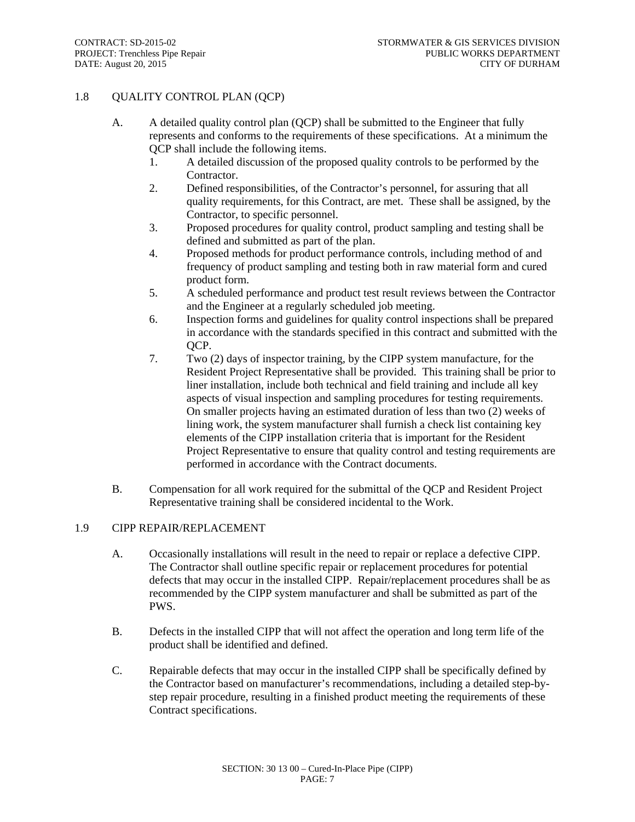# 1.8 QUALITY CONTROL PLAN (QCP)

- A. A detailed quality control plan (QCP) shall be submitted to the Engineer that fully represents and conforms to the requirements of these specifications. At a minimum the QCP shall include the following items.
	- 1. A detailed discussion of the proposed quality controls to be performed by the Contractor.
	- 2. Defined responsibilities, of the Contractor's personnel, for assuring that all quality requirements, for this Contract, are met. These shall be assigned, by the Contractor, to specific personnel.
	- 3. Proposed procedures for quality control, product sampling and testing shall be defined and submitted as part of the plan.
	- 4. Proposed methods for product performance controls, including method of and frequency of product sampling and testing both in raw material form and cured product form.
	- 5. A scheduled performance and product test result reviews between the Contractor and the Engineer at a regularly scheduled job meeting.
	- 6. Inspection forms and guidelines for quality control inspections shall be prepared in accordance with the standards specified in this contract and submitted with the OCP.
	- 7. Two (2) days of inspector training, by the CIPP system manufacture, for the Resident Project Representative shall be provided. This training shall be prior to liner installation, include both technical and field training and include all key aspects of visual inspection and sampling procedures for testing requirements. On smaller projects having an estimated duration of less than two (2) weeks of lining work, the system manufacturer shall furnish a check list containing key elements of the CIPP installation criteria that is important for the Resident Project Representative to ensure that quality control and testing requirements are performed in accordance with the Contract documents.
- B. Compensation for all work required for the submittal of the QCP and Resident Project Representative training shall be considered incidental to the Work.

#### 1.9 CIPP REPAIR/REPLACEMENT

- A. Occasionally installations will result in the need to repair or replace a defective CIPP. The Contractor shall outline specific repair or replacement procedures for potential defects that may occur in the installed CIPP. Repair/replacement procedures shall be as recommended by the CIPP system manufacturer and shall be submitted as part of the PWS.
- B. Defects in the installed CIPP that will not affect the operation and long term life of the product shall be identified and defined.
- C. Repairable defects that may occur in the installed CIPP shall be specifically defined by the Contractor based on manufacturer's recommendations, including a detailed step-bystep repair procedure, resulting in a finished product meeting the requirements of these Contract specifications.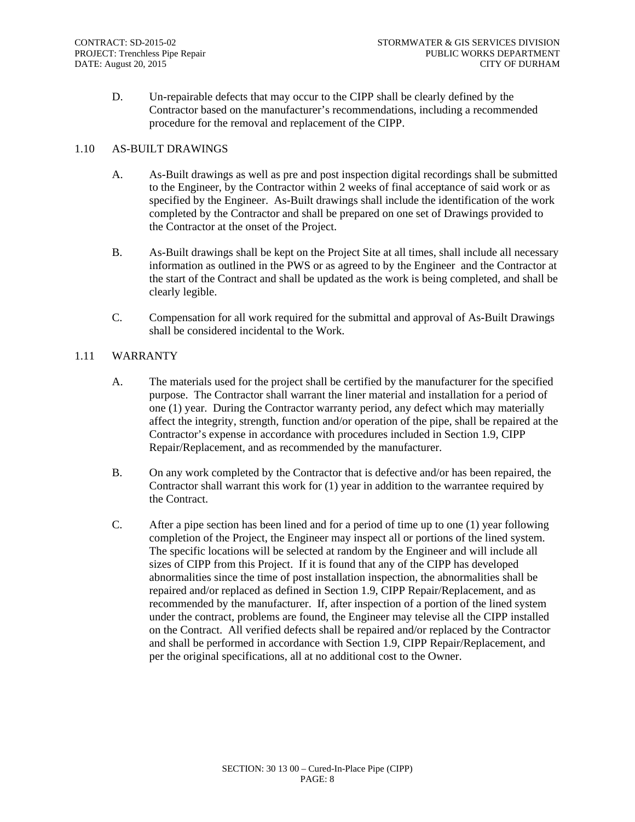D. Un-repairable defects that may occur to the CIPP shall be clearly defined by the Contractor based on the manufacturer's recommendations, including a recommended procedure for the removal and replacement of the CIPP.

#### 1.10 AS-BUILT DRAWINGS

- A. As-Built drawings as well as pre and post inspection digital recordings shall be submitted to the Engineer, by the Contractor within 2 weeks of final acceptance of said work or as specified by the Engineer. As-Built drawings shall include the identification of the work completed by the Contractor and shall be prepared on one set of Drawings provided to the Contractor at the onset of the Project.
- B. As-Built drawings shall be kept on the Project Site at all times, shall include all necessary information as outlined in the PWS or as agreed to by the Engineer and the Contractor at the start of the Contract and shall be updated as the work is being completed, and shall be clearly legible.
- C. Compensation for all work required for the submittal and approval of As-Built Drawings shall be considered incidental to the Work.

## 1.11 WARRANTY

- A. The materials used for the project shall be certified by the manufacturer for the specified purpose. The Contractor shall warrant the liner material and installation for a period of one (1) year. During the Contractor warranty period, any defect which may materially affect the integrity, strength, function and/or operation of the pipe, shall be repaired at the Contractor's expense in accordance with procedures included in Section 1.9, CIPP Repair/Replacement, and as recommended by the manufacturer.
- B. On any work completed by the Contractor that is defective and/or has been repaired, the Contractor shall warrant this work for (1) year in addition to the warrantee required by the Contract.
- C. After a pipe section has been lined and for a period of time up to one (1) year following completion of the Project, the Engineer may inspect all or portions of the lined system. The specific locations will be selected at random by the Engineer and will include all sizes of CIPP from this Project. If it is found that any of the CIPP has developed abnormalities since the time of post installation inspection, the abnormalities shall be repaired and/or replaced as defined in Section 1.9, CIPP Repair/Replacement, and as recommended by the manufacturer. If, after inspection of a portion of the lined system under the contract, problems are found, the Engineer may televise all the CIPP installed on the Contract. All verified defects shall be repaired and/or replaced by the Contractor and shall be performed in accordance with Section 1.9, CIPP Repair/Replacement, and per the original specifications, all at no additional cost to the Owner.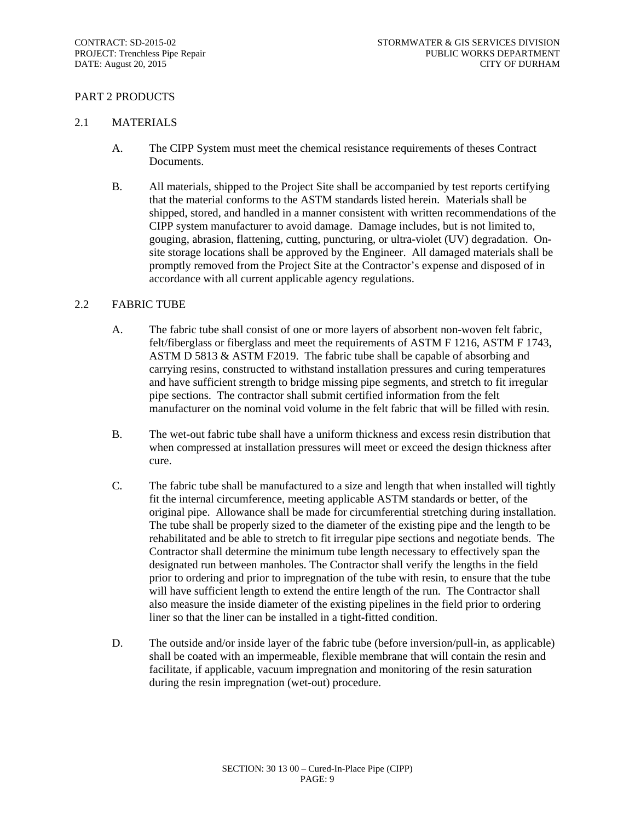### PART 2 PRODUCTS

#### 2.1 MATERIALS

- A. The CIPP System must meet the chemical resistance requirements of theses Contract Documents.
- B. All materials, shipped to the Project Site shall be accompanied by test reports certifying that the material conforms to the ASTM standards listed herein. Materials shall be shipped, stored, and handled in a manner consistent with written recommendations of the CIPP system manufacturer to avoid damage. Damage includes, but is not limited to, gouging, abrasion, flattening, cutting, puncturing, or ultra-violet (UV) degradation. Onsite storage locations shall be approved by the Engineer. All damaged materials shall be promptly removed from the Project Site at the Contractor's expense and disposed of in accordance with all current applicable agency regulations.

#### 2.2 FABRIC TUBE

- A. The fabric tube shall consist of one or more layers of absorbent non-woven felt fabric, felt/fiberglass or fiberglass and meet the requirements of ASTM F 1216, ASTM F 1743, ASTM D 5813 & ASTM F2019. The fabric tube shall be capable of absorbing and carrying resins, constructed to withstand installation pressures and curing temperatures and have sufficient strength to bridge missing pipe segments, and stretch to fit irregular pipe sections. The contractor shall submit certified information from the felt manufacturer on the nominal void volume in the felt fabric that will be filled with resin.
- B. The wet-out fabric tube shall have a uniform thickness and excess resin distribution that when compressed at installation pressures will meet or exceed the design thickness after cure.
- C. The fabric tube shall be manufactured to a size and length that when installed will tightly fit the internal circumference, meeting applicable ASTM standards or better, of the original pipe. Allowance shall be made for circumferential stretching during installation. The tube shall be properly sized to the diameter of the existing pipe and the length to be rehabilitated and be able to stretch to fit irregular pipe sections and negotiate bends. The Contractor shall determine the minimum tube length necessary to effectively span the designated run between manholes. The Contractor shall verify the lengths in the field prior to ordering and prior to impregnation of the tube with resin, to ensure that the tube will have sufficient length to extend the entire length of the run. The Contractor shall also measure the inside diameter of the existing pipelines in the field prior to ordering liner so that the liner can be installed in a tight-fitted condition.
- D. The outside and/or inside layer of the fabric tube (before inversion/pull-in, as applicable) shall be coated with an impermeable, flexible membrane that will contain the resin and facilitate, if applicable, vacuum impregnation and monitoring of the resin saturation during the resin impregnation (wet-out) procedure.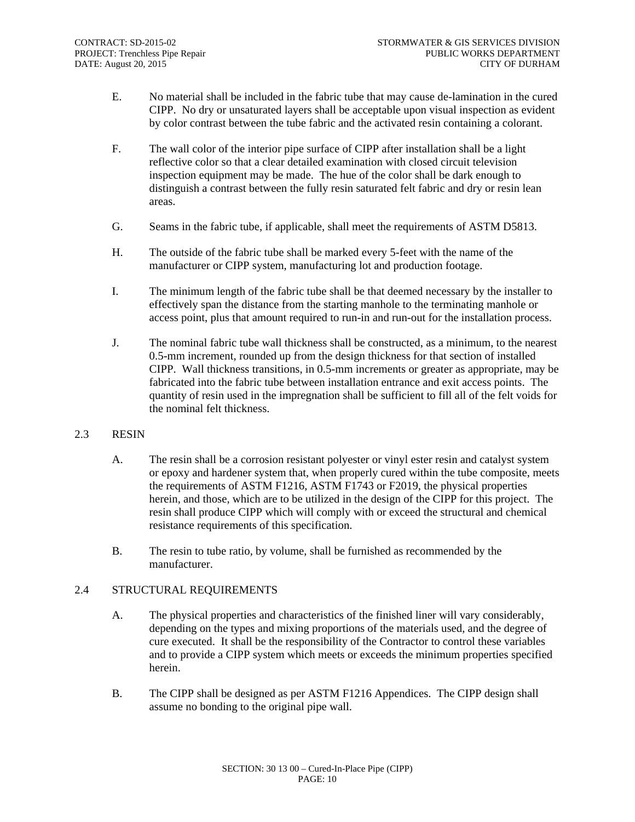- E. No material shall be included in the fabric tube that may cause de-lamination in the cured CIPP. No dry or unsaturated layers shall be acceptable upon visual inspection as evident by color contrast between the tube fabric and the activated resin containing a colorant.
- F. The wall color of the interior pipe surface of CIPP after installation shall be a light reflective color so that a clear detailed examination with closed circuit television inspection equipment may be made. The hue of the color shall be dark enough to distinguish a contrast between the fully resin saturated felt fabric and dry or resin lean areas.
- G. Seams in the fabric tube, if applicable, shall meet the requirements of ASTM D5813.
- H. The outside of the fabric tube shall be marked every 5-feet with the name of the manufacturer or CIPP system, manufacturing lot and production footage.
- I. The minimum length of the fabric tube shall be that deemed necessary by the installer to effectively span the distance from the starting manhole to the terminating manhole or access point, plus that amount required to run-in and run-out for the installation process.
- J. The nominal fabric tube wall thickness shall be constructed, as a minimum, to the nearest 0.5-mm increment, rounded up from the design thickness for that section of installed CIPP. Wall thickness transitions, in 0.5-mm increments or greater as appropriate, may be fabricated into the fabric tube between installation entrance and exit access points. The quantity of resin used in the impregnation shall be sufficient to fill all of the felt voids for the nominal felt thickness.
- 2.3 RESIN
	- A. The resin shall be a corrosion resistant polyester or vinyl ester resin and catalyst system or epoxy and hardener system that, when properly cured within the tube composite, meets the requirements of ASTM F1216, ASTM F1743 or F2019, the physical properties herein, and those, which are to be utilized in the design of the CIPP for this project. The resin shall produce CIPP which will comply with or exceed the structural and chemical resistance requirements of this specification.
	- B. The resin to tube ratio, by volume, shall be furnished as recommended by the manufacturer.

#### 2.4 STRUCTURAL REQUIREMENTS

- A. The physical properties and characteristics of the finished liner will vary considerably, depending on the types and mixing proportions of the materials used, and the degree of cure executed. It shall be the responsibility of the Contractor to control these variables and to provide a CIPP system which meets or exceeds the minimum properties specified herein.
- B. The CIPP shall be designed as per ASTM F1216 Appendices. The CIPP design shall assume no bonding to the original pipe wall.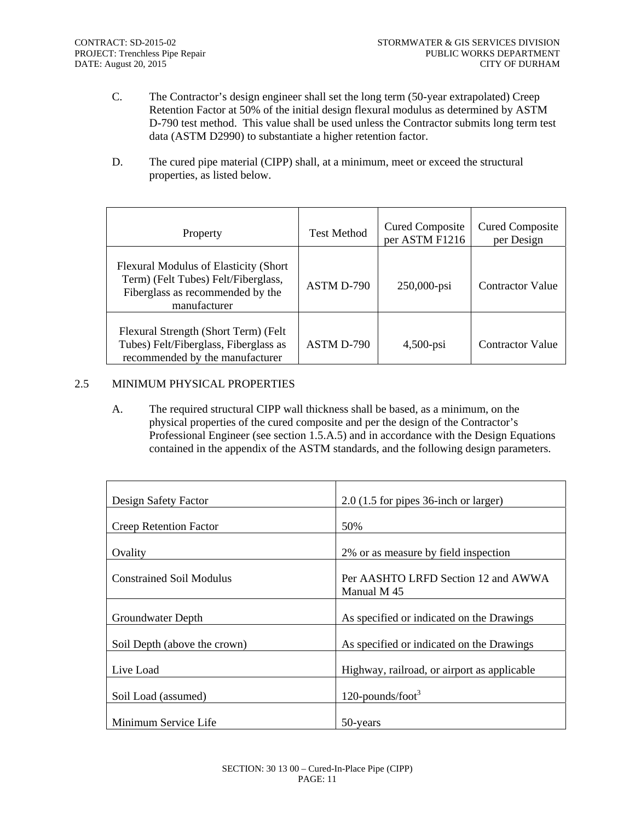- C. The Contractor's design engineer shall set the long term (50-year extrapolated) Creep Retention Factor at 50% of the initial design flexural modulus as determined by ASTM D-790 test method. This value shall be used unless the Contractor submits long term test data (ASTM D2990) to substantiate a higher retention factor.
- D. The cured pipe material (CIPP) shall, at a minimum, meet or exceed the structural properties, as listed below.

| Property                                                                                                                                  | <b>Test Method</b> | <b>Cured Composite</b><br>per ASTM F1216 | <b>Cured Composite</b><br>per Design |
|-------------------------------------------------------------------------------------------------------------------------------------------|--------------------|------------------------------------------|--------------------------------------|
| <b>Flexural Modulus of Elasticity (Short</b> )<br>Term) (Felt Tubes) Felt/Fiberglass,<br>Fiberglass as recommended by the<br>manufacturer | ASTM D-790         | 250,000-psi                              | <b>Contractor Value</b>              |
| Flexural Strength (Short Term) (Felt<br>Tubes) Felt/Fiberglass, Fiberglass as<br>recommended by the manufacturer                          | ASTM D-790         | $4,500$ -psi                             | <b>Contractor Value</b>              |

# 2.5 MINIMUM PHYSICAL PROPERTIES

A. The required structural CIPP wall thickness shall be based, as a minimum, on the physical properties of the cured composite and per the design of the Contractor's Professional Engineer (see section 1.5.A.5) and in accordance with the Design Equations contained in the appendix of the ASTM standards, and the following design parameters.

| Design Safety Factor            | $2.0$ (1.5 for pipes 36-inch or larger)            |
|---------------------------------|----------------------------------------------------|
| <b>Creep Retention Factor</b>   | 50%                                                |
| Ovality                         | 2% or as measure by field inspection               |
| <b>Constrained Soil Modulus</b> | Per AASHTO LRFD Section 12 and AWWA<br>Manual M 45 |
| Groundwater Depth               | As specified or indicated on the Drawings          |
| Soil Depth (above the crown)    | As specified or indicated on the Drawings          |
| Live Load                       | Highway, railroad, or airport as applicable        |
| Soil Load (assumed)             | 120-pounds/foot <sup>3</sup>                       |
| Minimum Service Life            | 50-years                                           |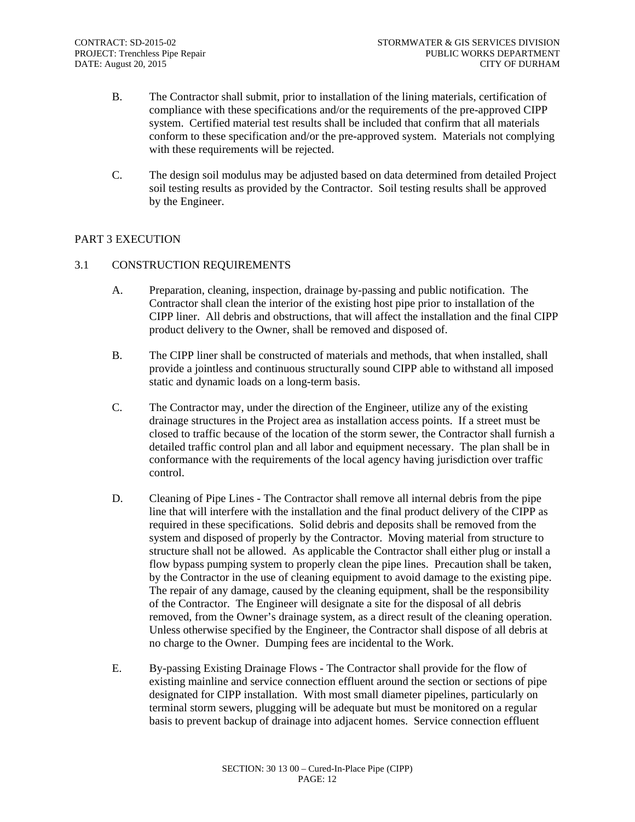- B. The Contractor shall submit, prior to installation of the lining materials, certification of compliance with these specifications and/or the requirements of the pre-approved CIPP system. Certified material test results shall be included that confirm that all materials conform to these specification and/or the pre-approved system. Materials not complying with these requirements will be rejected.
- C. The design soil modulus may be adjusted based on data determined from detailed Project soil testing results as provided by the Contractor. Soil testing results shall be approved by the Engineer.

## PART 3 EXECUTION

## 3.1 CONSTRUCTION REQUIREMENTS

- A. Preparation, cleaning, inspection, drainage by-passing and public notification. The Contractor shall clean the interior of the existing host pipe prior to installation of the CIPP liner. All debris and obstructions, that will affect the installation and the final CIPP product delivery to the Owner, shall be removed and disposed of.
- B. The CIPP liner shall be constructed of materials and methods, that when installed, shall provide a jointless and continuous structurally sound CIPP able to withstand all imposed static and dynamic loads on a long-term basis.
- C. The Contractor may, under the direction of the Engineer, utilize any of the existing drainage structures in the Project area as installation access points. If a street must be closed to traffic because of the location of the storm sewer, the Contractor shall furnish a detailed traffic control plan and all labor and equipment necessary. The plan shall be in conformance with the requirements of the local agency having jurisdiction over traffic control.
- D. Cleaning of Pipe Lines The Contractor shall remove all internal debris from the pipe line that will interfere with the installation and the final product delivery of the CIPP as required in these specifications. Solid debris and deposits shall be removed from the system and disposed of properly by the Contractor. Moving material from structure to structure shall not be allowed. As applicable the Contractor shall either plug or install a flow bypass pumping system to properly clean the pipe lines. Precaution shall be taken, by the Contractor in the use of cleaning equipment to avoid damage to the existing pipe. The repair of any damage, caused by the cleaning equipment, shall be the responsibility of the Contractor. The Engineer will designate a site for the disposal of all debris removed, from the Owner's drainage system, as a direct result of the cleaning operation. Unless otherwise specified by the Engineer, the Contractor shall dispose of all debris at no charge to the Owner. Dumping fees are incidental to the Work.
- E. By-passing Existing Drainage Flows The Contractor shall provide for the flow of existing mainline and service connection effluent around the section or sections of pipe designated for CIPP installation. With most small diameter pipelines, particularly on terminal storm sewers, plugging will be adequate but must be monitored on a regular basis to prevent backup of drainage into adjacent homes. Service connection effluent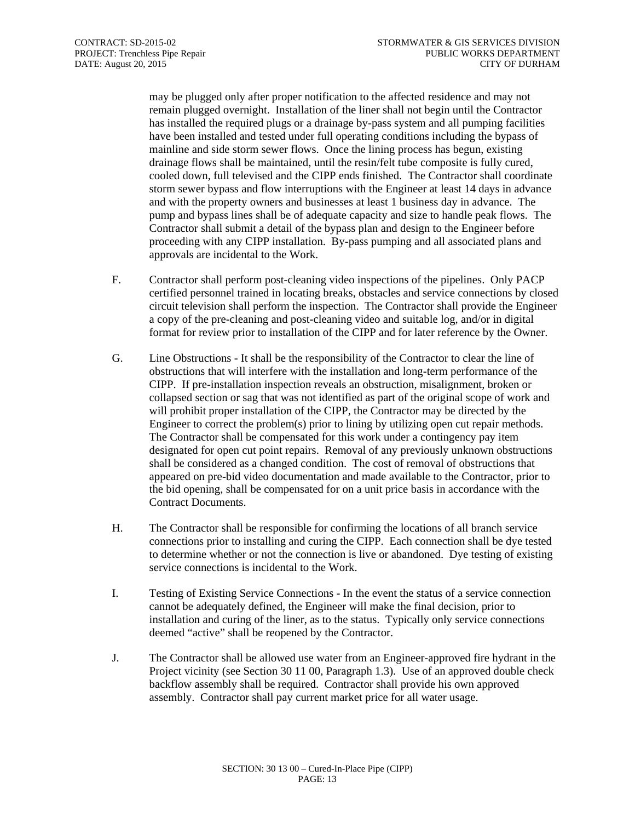may be plugged only after proper notification to the affected residence and may not remain plugged overnight. Installation of the liner shall not begin until the Contractor has installed the required plugs or a drainage by-pass system and all pumping facilities have been installed and tested under full operating conditions including the bypass of mainline and side storm sewer flows. Once the lining process has begun, existing drainage flows shall be maintained, until the resin/felt tube composite is fully cured, cooled down, full televised and the CIPP ends finished. The Contractor shall coordinate storm sewer bypass and flow interruptions with the Engineer at least 14 days in advance and with the property owners and businesses at least 1 business day in advance. The pump and bypass lines shall be of adequate capacity and size to handle peak flows. The Contractor shall submit a detail of the bypass plan and design to the Engineer before proceeding with any CIPP installation. By-pass pumping and all associated plans and approvals are incidental to the Work.

- F. Contractor shall perform post-cleaning video inspections of the pipelines. Only PACP certified personnel trained in locating breaks, obstacles and service connections by closed circuit television shall perform the inspection. The Contractor shall provide the Engineer a copy of the pre-cleaning and post-cleaning video and suitable log, and/or in digital format for review prior to installation of the CIPP and for later reference by the Owner.
- G. Line Obstructions It shall be the responsibility of the Contractor to clear the line of obstructions that will interfere with the installation and long-term performance of the CIPP. If pre-installation inspection reveals an obstruction, misalignment, broken or collapsed section or sag that was not identified as part of the original scope of work and will prohibit proper installation of the CIPP, the Contractor may be directed by the Engineer to correct the problem(s) prior to lining by utilizing open cut repair methods. The Contractor shall be compensated for this work under a contingency pay item designated for open cut point repairs. Removal of any previously unknown obstructions shall be considered as a changed condition. The cost of removal of obstructions that appeared on pre-bid video documentation and made available to the Contractor, prior to the bid opening, shall be compensated for on a unit price basis in accordance with the Contract Documents.
- H. The Contractor shall be responsible for confirming the locations of all branch service connections prior to installing and curing the CIPP. Each connection shall be dye tested to determine whether or not the connection is live or abandoned. Dye testing of existing service connections is incidental to the Work.
- I. Testing of Existing Service Connections In the event the status of a service connection cannot be adequately defined, the Engineer will make the final decision, prior to installation and curing of the liner, as to the status. Typically only service connections deemed "active" shall be reopened by the Contractor.
- J. The Contractor shall be allowed use water from an Engineer-approved fire hydrant in the Project vicinity (see Section 30 11 00, Paragraph 1.3). Use of an approved double check backflow assembly shall be required. Contractor shall provide his own approved assembly. Contractor shall pay current market price for all water usage.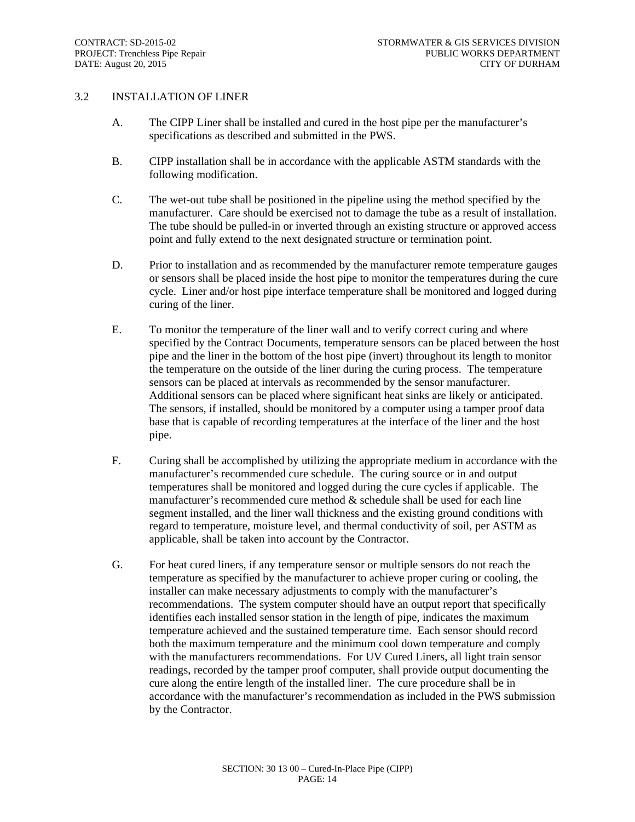#### 3.2 INSTALLATION OF LINER

- A. The CIPP Liner shall be installed and cured in the host pipe per the manufacturer's specifications as described and submitted in the PWS.
- B. CIPP installation shall be in accordance with the applicable ASTM standards with the following modification.
- C. The wet-out tube shall be positioned in the pipeline using the method specified by the manufacturer. Care should be exercised not to damage the tube as a result of installation. The tube should be pulled-in or inverted through an existing structure or approved access point and fully extend to the next designated structure or termination point.
- D. Prior to installation and as recommended by the manufacturer remote temperature gauges or sensors shall be placed inside the host pipe to monitor the temperatures during the cure cycle. Liner and/or host pipe interface temperature shall be monitored and logged during curing of the liner.
- E. To monitor the temperature of the liner wall and to verify correct curing and where specified by the Contract Documents, temperature sensors can be placed between the host pipe and the liner in the bottom of the host pipe (invert) throughout its length to monitor the temperature on the outside of the liner during the curing process. The temperature sensors can be placed at intervals as recommended by the sensor manufacturer. Additional sensors can be placed where significant heat sinks are likely or anticipated. The sensors, if installed, should be monitored by a computer using a tamper proof data base that is capable of recording temperatures at the interface of the liner and the host pipe.
- F. Curing shall be accomplished by utilizing the appropriate medium in accordance with the manufacturer's recommended cure schedule. The curing source or in and output temperatures shall be monitored and logged during the cure cycles if applicable. The manufacturer's recommended cure method  $\&$  schedule shall be used for each line segment installed, and the liner wall thickness and the existing ground conditions with regard to temperature, moisture level, and thermal conductivity of soil, per ASTM as applicable, shall be taken into account by the Contractor.
- G. For heat cured liners, if any temperature sensor or multiple sensors do not reach the temperature as specified by the manufacturer to achieve proper curing or cooling, the installer can make necessary adjustments to comply with the manufacturer's recommendations. The system computer should have an output report that specifically identifies each installed sensor station in the length of pipe, indicates the maximum temperature achieved and the sustained temperature time. Each sensor should record both the maximum temperature and the minimum cool down temperature and comply with the manufacturers recommendations. For UV Cured Liners, all light train sensor readings, recorded by the tamper proof computer, shall provide output documenting the cure along the entire length of the installed liner. The cure procedure shall be in accordance with the manufacturer's recommendation as included in the PWS submission by the Contractor.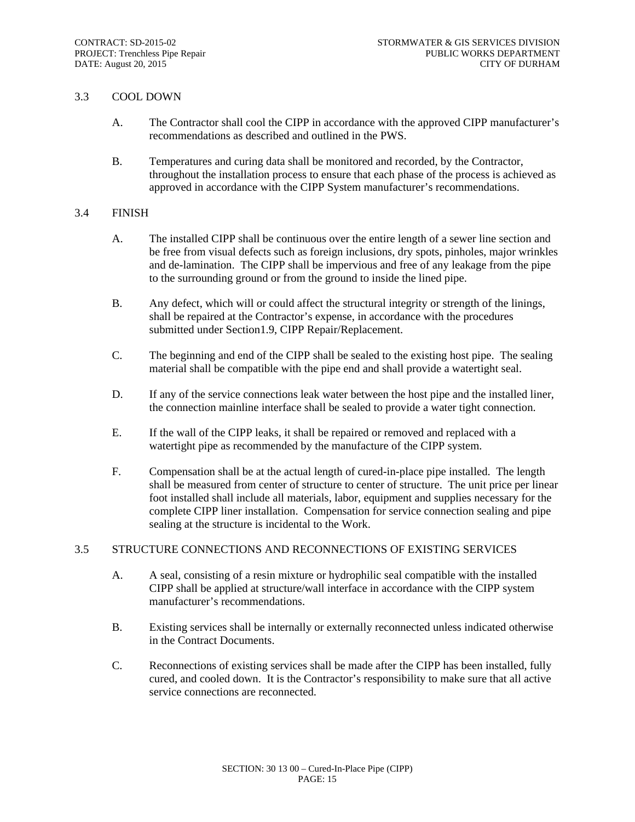#### 3.3 COOL DOWN

- A. The Contractor shall cool the CIPP in accordance with the approved CIPP manufacturer's recommendations as described and outlined in the PWS.
- B. Temperatures and curing data shall be monitored and recorded, by the Contractor, throughout the installation process to ensure that each phase of the process is achieved as approved in accordance with the CIPP System manufacturer's recommendations.

#### 3.4 FINISH

- A. The installed CIPP shall be continuous over the entire length of a sewer line section and be free from visual defects such as foreign inclusions, dry spots, pinholes, major wrinkles and de-lamination. The CIPP shall be impervious and free of any leakage from the pipe to the surrounding ground or from the ground to inside the lined pipe.
- B. Any defect, which will or could affect the structural integrity or strength of the linings, shall be repaired at the Contractor's expense, in accordance with the procedures submitted under Section1.9, CIPP Repair/Replacement.
- C. The beginning and end of the CIPP shall be sealed to the existing host pipe. The sealing material shall be compatible with the pipe end and shall provide a watertight seal.
- D. If any of the service connections leak water between the host pipe and the installed liner, the connection mainline interface shall be sealed to provide a water tight connection.
- E. If the wall of the CIPP leaks, it shall be repaired or removed and replaced with a watertight pipe as recommended by the manufacture of the CIPP system.
- F. Compensation shall be at the actual length of cured-in-place pipe installed. The length shall be measured from center of structure to center of structure. The unit price per linear foot installed shall include all materials, labor, equipment and supplies necessary for the complete CIPP liner installation. Compensation for service connection sealing and pipe sealing at the structure is incidental to the Work.

# 3.5 STRUCTURE CONNECTIONS AND RECONNECTIONS OF EXISTING SERVICES

- A. A seal, consisting of a resin mixture or hydrophilic seal compatible with the installed CIPP shall be applied at structure/wall interface in accordance with the CIPP system manufacturer's recommendations.
- B. Existing services shall be internally or externally reconnected unless indicated otherwise in the Contract Documents.
- C. Reconnections of existing services shall be made after the CIPP has been installed, fully cured, and cooled down. It is the Contractor's responsibility to make sure that all active service connections are reconnected.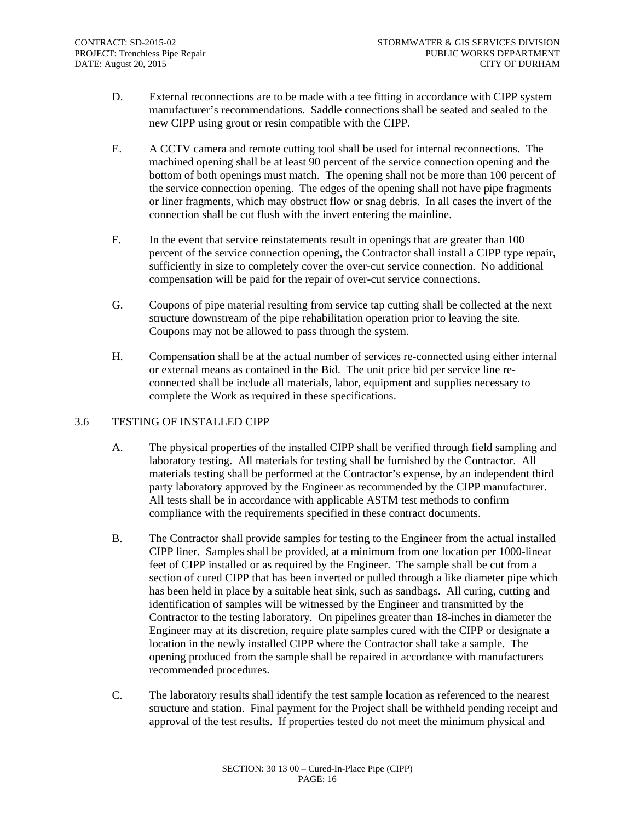- D. External reconnections are to be made with a tee fitting in accordance with CIPP system manufacturer's recommendations. Saddle connections shall be seated and sealed to the new CIPP using grout or resin compatible with the CIPP.
- E. A CCTV camera and remote cutting tool shall be used for internal reconnections. The machined opening shall be at least 90 percent of the service connection opening and the bottom of both openings must match. The opening shall not be more than 100 percent of the service connection opening. The edges of the opening shall not have pipe fragments or liner fragments, which may obstruct flow or snag debris. In all cases the invert of the connection shall be cut flush with the invert entering the mainline.
- F. In the event that service reinstatements result in openings that are greater than 100 percent of the service connection opening, the Contractor shall install a CIPP type repair, sufficiently in size to completely cover the over-cut service connection. No additional compensation will be paid for the repair of over-cut service connections.
- G. Coupons of pipe material resulting from service tap cutting shall be collected at the next structure downstream of the pipe rehabilitation operation prior to leaving the site. Coupons may not be allowed to pass through the system.
- H. Compensation shall be at the actual number of services re-connected using either internal or external means as contained in the Bid. The unit price bid per service line reconnected shall be include all materials, labor, equipment and supplies necessary to complete the Work as required in these specifications.

# 3.6 TESTING OF INSTALLED CIPP

- A. The physical properties of the installed CIPP shall be verified through field sampling and laboratory testing. All materials for testing shall be furnished by the Contractor. All materials testing shall be performed at the Contractor's expense, by an independent third party laboratory approved by the Engineer as recommended by the CIPP manufacturer. All tests shall be in accordance with applicable ASTM test methods to confirm compliance with the requirements specified in these contract documents.
- B. The Contractor shall provide samples for testing to the Engineer from the actual installed CIPP liner. Samples shall be provided, at a minimum from one location per 1000-linear feet of CIPP installed or as required by the Engineer. The sample shall be cut from a section of cured CIPP that has been inverted or pulled through a like diameter pipe which has been held in place by a suitable heat sink, such as sandbags. All curing, cutting and identification of samples will be witnessed by the Engineer and transmitted by the Contractor to the testing laboratory. On pipelines greater than 18-inches in diameter the Engineer may at its discretion, require plate samples cured with the CIPP or designate a location in the newly installed CIPP where the Contractor shall take a sample. The opening produced from the sample shall be repaired in accordance with manufacturers recommended procedures.
- C. The laboratory results shall identify the test sample location as referenced to the nearest structure and station. Final payment for the Project shall be withheld pending receipt and approval of the test results. If properties tested do not meet the minimum physical and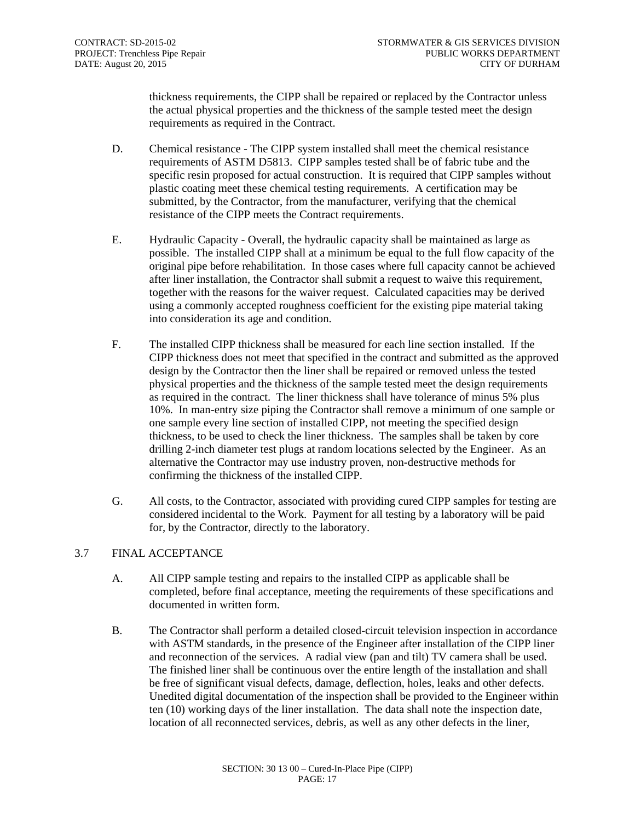thickness requirements, the CIPP shall be repaired or replaced by the Contractor unless the actual physical properties and the thickness of the sample tested meet the design requirements as required in the Contract.

- D. Chemical resistance The CIPP system installed shall meet the chemical resistance requirements of ASTM D5813. CIPP samples tested shall be of fabric tube and the specific resin proposed for actual construction. It is required that CIPP samples without plastic coating meet these chemical testing requirements. A certification may be submitted, by the Contractor, from the manufacturer, verifying that the chemical resistance of the CIPP meets the Contract requirements.
- E. Hydraulic Capacity Overall, the hydraulic capacity shall be maintained as large as possible. The installed CIPP shall at a minimum be equal to the full flow capacity of the original pipe before rehabilitation. In those cases where full capacity cannot be achieved after liner installation, the Contractor shall submit a request to waive this requirement, together with the reasons for the waiver request. Calculated capacities may be derived using a commonly accepted roughness coefficient for the existing pipe material taking into consideration its age and condition.
- F. The installed CIPP thickness shall be measured for each line section installed. If the CIPP thickness does not meet that specified in the contract and submitted as the approved design by the Contractor then the liner shall be repaired or removed unless the tested physical properties and the thickness of the sample tested meet the design requirements as required in the contract. The liner thickness shall have tolerance of minus 5% plus 10%. In man-entry size piping the Contractor shall remove a minimum of one sample or one sample every line section of installed CIPP, not meeting the specified design thickness, to be used to check the liner thickness. The samples shall be taken by core drilling 2-inch diameter test plugs at random locations selected by the Engineer. As an alternative the Contractor may use industry proven, non-destructive methods for confirming the thickness of the installed CIPP.
- G. All costs, to the Contractor, associated with providing cured CIPP samples for testing are considered incidental to the Work. Payment for all testing by a laboratory will be paid for, by the Contractor, directly to the laboratory.

# 3.7 FINAL ACCEPTANCE

- A. All CIPP sample testing and repairs to the installed CIPP as applicable shall be completed, before final acceptance, meeting the requirements of these specifications and documented in written form.
- B. The Contractor shall perform a detailed closed-circuit television inspection in accordance with ASTM standards, in the presence of the Engineer after installation of the CIPP liner and reconnection of the services. A radial view (pan and tilt) TV camera shall be used. The finished liner shall be continuous over the entire length of the installation and shall be free of significant visual defects, damage, deflection, holes, leaks and other defects. Unedited digital documentation of the inspection shall be provided to the Engineer within ten (10) working days of the liner installation. The data shall note the inspection date, location of all reconnected services, debris, as well as any other defects in the liner,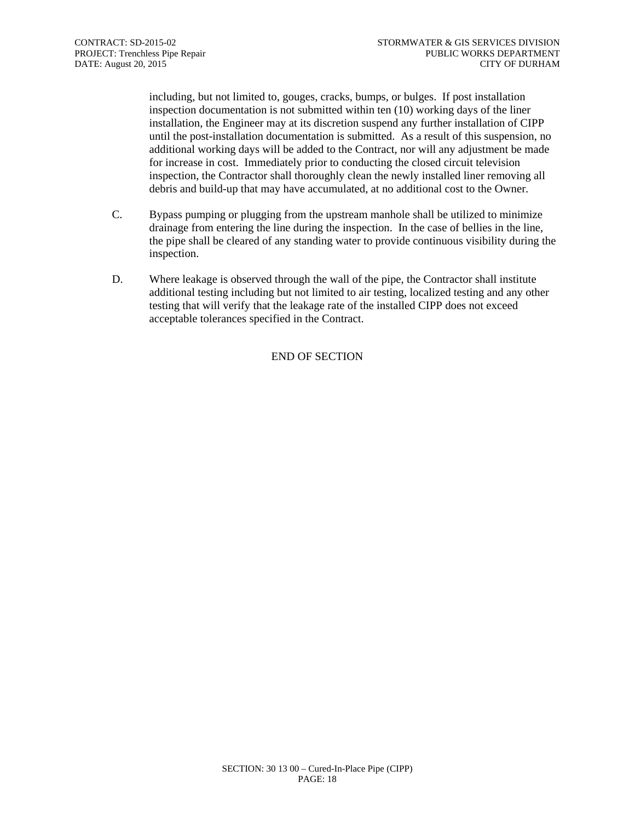including, but not limited to, gouges, cracks, bumps, or bulges. If post installation inspection documentation is not submitted within ten (10) working days of the liner installation, the Engineer may at its discretion suspend any further installation of CIPP until the post-installation documentation is submitted. As a result of this suspension, no additional working days will be added to the Contract, nor will any adjustment be made for increase in cost. Immediately prior to conducting the closed circuit television inspection, the Contractor shall thoroughly clean the newly installed liner removing all debris and build-up that may have accumulated, at no additional cost to the Owner.

- C. Bypass pumping or plugging from the upstream manhole shall be utilized to minimize drainage from entering the line during the inspection. In the case of bellies in the line, the pipe shall be cleared of any standing water to provide continuous visibility during the inspection.
- D. Where leakage is observed through the wall of the pipe, the Contractor shall institute additional testing including but not limited to air testing, localized testing and any other testing that will verify that the leakage rate of the installed CIPP does not exceed acceptable tolerances specified in the Contract.

# END OF SECTION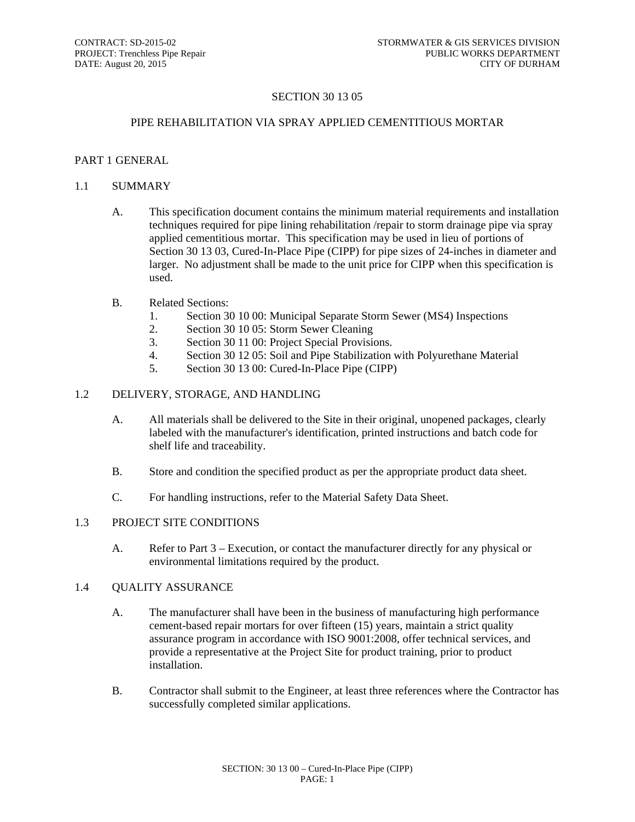# SECTION 30 13 05

#### PIPE REHABILITATION VIA SPRAY APPLIED CEMENTITIOUS MORTAR

#### PART 1 GENERAL

#### 1.1 SUMMARY

- A. This specification document contains the minimum material requirements and installation techniques required for pipe lining rehabilitation /repair to storm drainage pipe via spray applied cementitious mortar. This specification may be used in lieu of portions of Section 30 13 03, Cured-In-Place Pipe (CIPP) for pipe sizes of 24-inches in diameter and larger. No adjustment shall be made to the unit price for CIPP when this specification is used.
- B. Related Sections:
	- 1. Section 30 10 00: Municipal Separate Storm Sewer (MS4) Inspections
	- 2. Section 30 10 05: Storm Sewer Cleaning
	- 3. Section 30 11 00: Project Special Provisions.
	- 4. Section 30 12 05: Soil and Pipe Stabilization with Polyurethane Material
	- 5. Section 30 13 00: Cured-In-Place Pipe (CIPP)

#### 1.2 DELIVERY, STORAGE, AND HANDLING

- A. All materials shall be delivered to the Site in their original, unopened packages, clearly labeled with the manufacturer's identification, printed instructions and batch code for shelf life and traceability.
- B. Store and condition the specified product as per the appropriate product data sheet.
- C. For handling instructions, refer to the Material Safety Data Sheet.

#### 1.3 PROJECT SITE CONDITIONS

A. Refer to Part 3 – Execution, or contact the manufacturer directly for any physical or environmental limitations required by the product.

#### 1.4 QUALITY ASSURANCE

- A. The manufacturer shall have been in the business of manufacturing high performance cement-based repair mortars for over fifteen (15) years, maintain a strict quality assurance program in accordance with ISO 9001:2008, offer technical services, and provide a representative at the Project Site for product training, prior to product installation.
- B. Contractor shall submit to the Engineer, at least three references where the Contractor has successfully completed similar applications.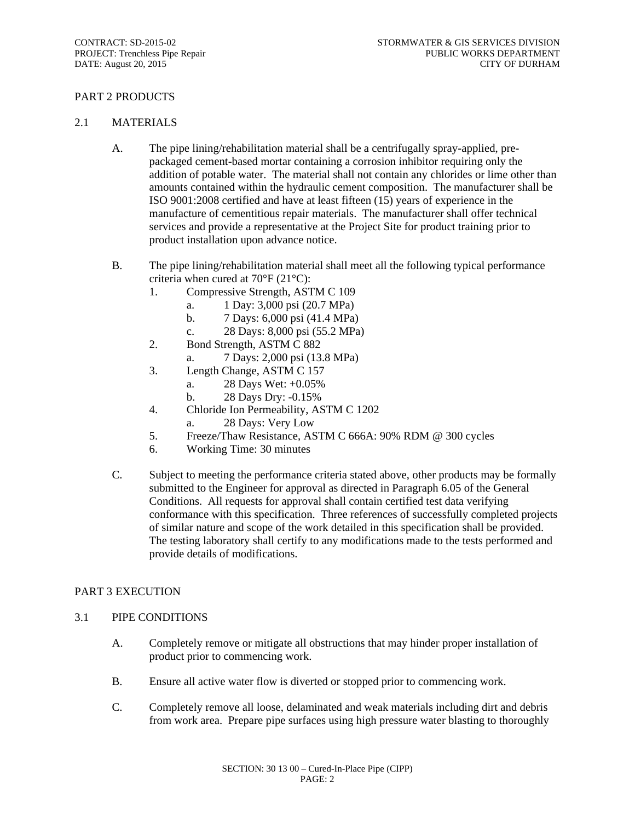# PART 2 PRODUCTS

#### 2.1 MATERIALS

- A. The pipe lining/rehabilitation material shall be a centrifugally spray-applied, prepackaged cement-based mortar containing a corrosion inhibitor requiring only the addition of potable water. The material shall not contain any chlorides or lime other than amounts contained within the hydraulic cement composition. The manufacturer shall be ISO 9001:2008 certified and have at least fifteen (15) years of experience in the manufacture of cementitious repair materials. The manufacturer shall offer technical services and provide a representative at the Project Site for product training prior to product installation upon advance notice.
- B. The pipe lining/rehabilitation material shall meet all the following typical performance criteria when cured at 70°F (21°C):
	- 1. Compressive Strength, ASTM C 109
		- a. 1 Day: 3,000 psi (20.7 MPa)
		- b. 7 Days: 6,000 psi (41.4 MPa)
		- c. 28 Days: 8,000 psi (55.2 MPa)
	- 2. Bond Strength, ASTM C 882
		- a. 7 Days: 2,000 psi (13.8 MPa)
	- 3. Length Change, ASTM C 157
		- a. 28 Days Wet: +0.05%
		- b. 28 Days Dry: -0.15%
	- 4. Chloride Ion Permeability, ASTM C 1202
		- a. 28 Days: Very Low
	- 5. Freeze/Thaw Resistance, ASTM C 666A: 90% RDM @ 300 cycles
	- 6. Working Time: 30 minutes
- C. Subject to meeting the performance criteria stated above, other products may be formally submitted to the Engineer for approval as directed in Paragraph 6.05 of the General Conditions. All requests for approval shall contain certified test data verifying conformance with this specification. Three references of successfully completed projects of similar nature and scope of the work detailed in this specification shall be provided. The testing laboratory shall certify to any modifications made to the tests performed and provide details of modifications.

#### PART 3 EXECUTION

#### 3.1 PIPE CONDITIONS

- A. Completely remove or mitigate all obstructions that may hinder proper installation of product prior to commencing work.
- B. Ensure all active water flow is diverted or stopped prior to commencing work.
- C. Completely remove all loose, delaminated and weak materials including dirt and debris from work area. Prepare pipe surfaces using high pressure water blasting to thoroughly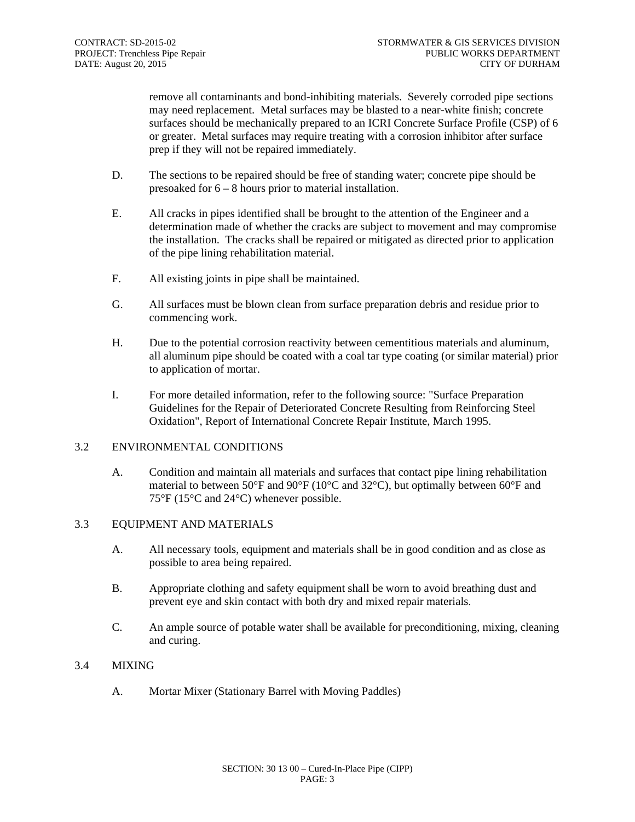remove all contaminants and bond-inhibiting materials. Severely corroded pipe sections may need replacement. Metal surfaces may be blasted to a near-white finish; concrete surfaces should be mechanically prepared to an ICRI Concrete Surface Profile (CSP) of 6 or greater. Metal surfaces may require treating with a corrosion inhibitor after surface prep if they will not be repaired immediately.

- D. The sections to be repaired should be free of standing water; concrete pipe should be presoaked for 6 – 8 hours prior to material installation.
- E. All cracks in pipes identified shall be brought to the attention of the Engineer and a determination made of whether the cracks are subject to movement and may compromise the installation. The cracks shall be repaired or mitigated as directed prior to application of the pipe lining rehabilitation material.
- F. All existing joints in pipe shall be maintained.
- G. All surfaces must be blown clean from surface preparation debris and residue prior to commencing work.
- H. Due to the potential corrosion reactivity between cementitious materials and aluminum, all aluminum pipe should be coated with a coal tar type coating (or similar material) prior to application of mortar.
- I. For more detailed information, refer to the following source: "Surface Preparation Guidelines for the Repair of Deteriorated Concrete Resulting from Reinforcing Steel Oxidation", Report of International Concrete Repair Institute, March 1995.

#### 3.2 ENVIRONMENTAL CONDITIONS

A. Condition and maintain all materials and surfaces that contact pipe lining rehabilitation material to between 50°F and 90°F (10°C and 32°C), but optimally between 60°F and 75°F (15°C and 24°C) whenever possible.

#### 3.3 EQUIPMENT AND MATERIALS

- A. All necessary tools, equipment and materials shall be in good condition and as close as possible to area being repaired.
- B. Appropriate clothing and safety equipment shall be worn to avoid breathing dust and prevent eye and skin contact with both dry and mixed repair materials.
- C. An ample source of potable water shall be available for preconditioning, mixing, cleaning and curing.

# 3.4 MIXING

A. Mortar Mixer (Stationary Barrel with Moving Paddles)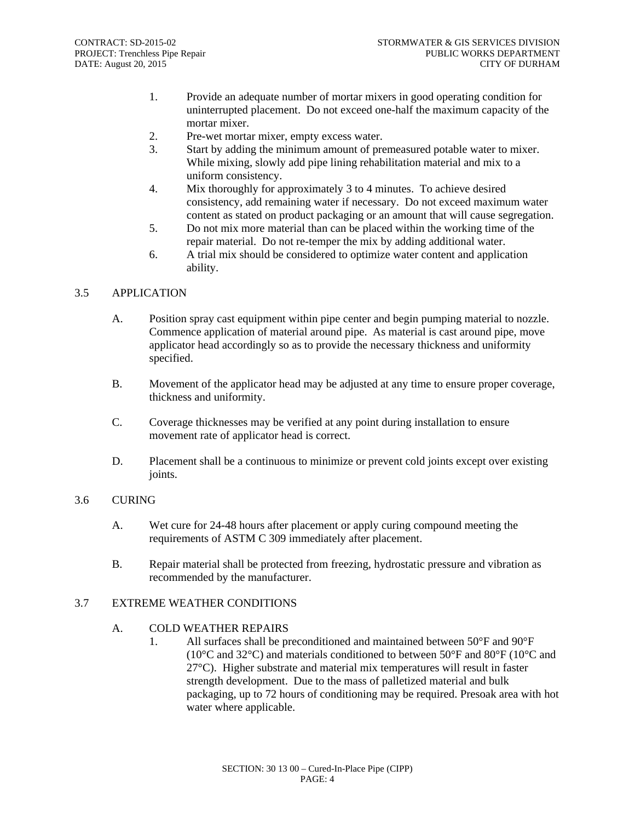- 1. Provide an adequate number of mortar mixers in good operating condition for uninterrupted placement. Do not exceed one-half the maximum capacity of the mortar mixer.
- 2. Pre-wet mortar mixer, empty excess water.
- 3. Start by adding the minimum amount of premeasured potable water to mixer. While mixing, slowly add pipe lining rehabilitation material and mix to a uniform consistency.
- 4. Mix thoroughly for approximately 3 to 4 minutes. To achieve desired consistency, add remaining water if necessary. Do not exceed maximum water content as stated on product packaging or an amount that will cause segregation.
- 5. Do not mix more material than can be placed within the working time of the repair material. Do not re-temper the mix by adding additional water.
- 6. A trial mix should be considered to optimize water content and application ability.

## 3.5 APPLICATION

- A. Position spray cast equipment within pipe center and begin pumping material to nozzle. Commence application of material around pipe. As material is cast around pipe, move applicator head accordingly so as to provide the necessary thickness and uniformity specified.
- B. Movement of the applicator head may be adjusted at any time to ensure proper coverage, thickness and uniformity.
- C. Coverage thicknesses may be verified at any point during installation to ensure movement rate of applicator head is correct.
- D. Placement shall be a continuous to minimize or prevent cold joints except over existing joints.

#### 3.6 CURING

- A. Wet cure for 24-48 hours after placement or apply curing compound meeting the requirements of ASTM C 309 immediately after placement.
- B. Repair material shall be protected from freezing, hydrostatic pressure and vibration as recommended by the manufacturer.

#### 3.7 EXTREME WEATHER CONDITIONS

# A. COLD WEATHER REPAIRS

1. All surfaces shall be preconditioned and maintained between 50°F and 90°F ( $10^{\circ}$ C and  $32^{\circ}$ C) and materials conditioned to between  $50^{\circ}$ F and  $80^{\circ}$ F ( $10^{\circ}$ C and 27°C). Higher substrate and material mix temperatures will result in faster strength development. Due to the mass of palletized material and bulk packaging, up to 72 hours of conditioning may be required. Presoak area with hot water where applicable.